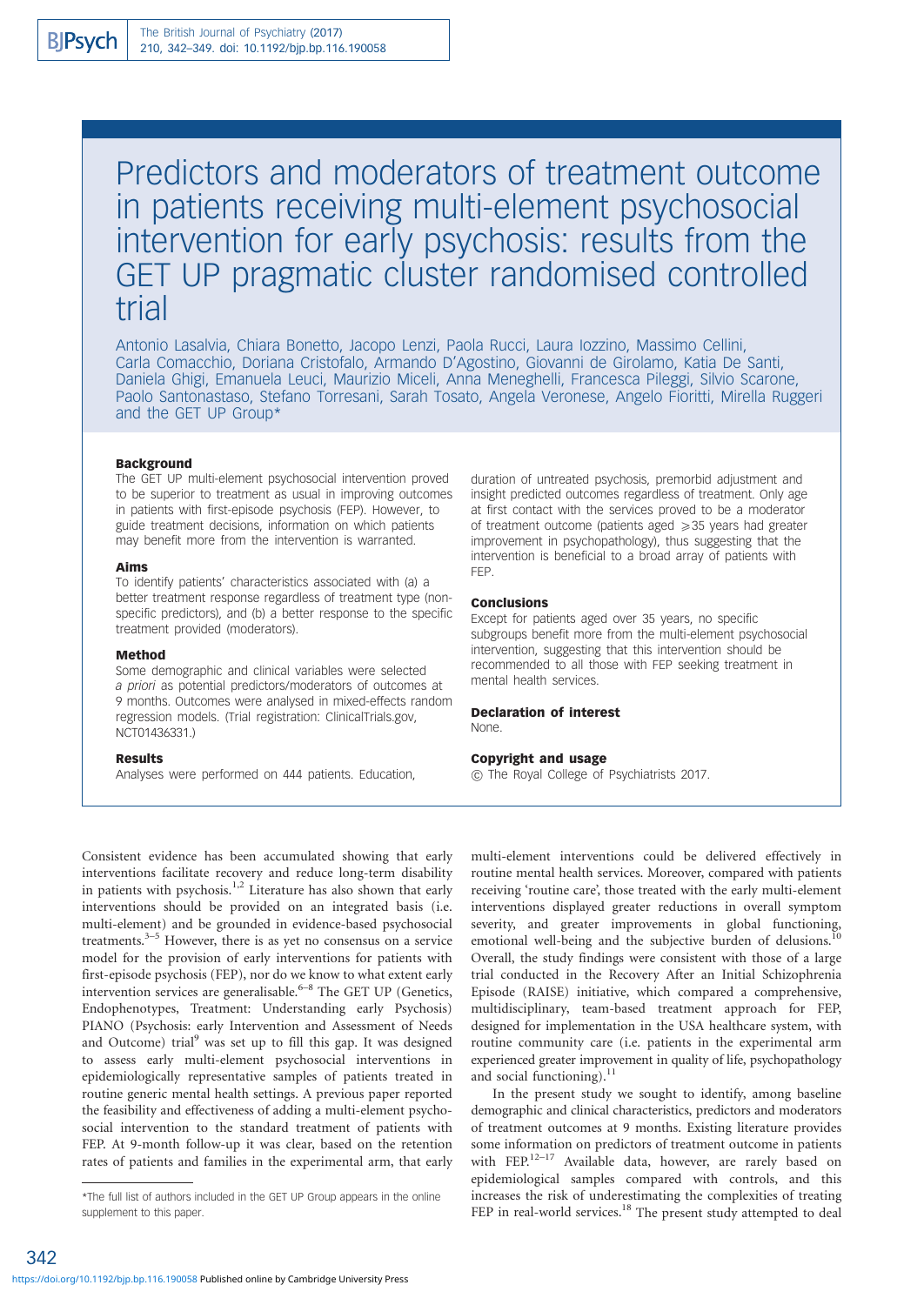# Predictors and moderators of treatment outcome in patients receiving multi-element psychosocial intervention for early psychosis: results from the GET UP pragmatic cluster randomised controlled trial

Antonio Lasalvia, Chiara Bonetto, Jacopo Lenzi, Paola Rucci, Laura Iozzino, Massimo Cellini, Carla Comacchio, Doriana Cristofalo, Armando D'Agostino, Giovanni de Girolamo, Katia De Santi, Daniela Ghigi, Emanuela Leuci, Maurizio Miceli, Anna Meneghelli, Francesca Pileggi, Silvio Scarone, Paolo Santonastaso, Stefano Torresani, Sarah Tosato, Angela Veronese, Angelo Fioritti, Mirella Ruggeri and the GET UP Group\*

#### Background

The GET UP multi-element psychosocial intervention proved to be superior to treatment as usual in improving outcomes in patients with first-episode psychosis (FEP). However, to guide treatment decisions, information on which patients may benefit more from the intervention is warranted.

# Aims

To identify patients' characteristics associated with (a) a better treatment response regardless of treatment type (nonspecific predictors), and (b) a better response to the specific treatment provided (moderators).

#### Method

Some demographic and clinical variables were selected a priori as potential predictors/moderators of outcomes at 9 months. Outcomes were analysed in mixed-effects random regression models. (Trial registration: ClinicalTrials.gov, NCT01436331.)

## **Results**

Analyses were performed on 444 patients. Education,

duration of untreated psychosis, premorbid adjustment and insight predicted outcomes regardless of treatment. Only age at first contact with the services proved to be a moderator of treatment outcome (patients aged  $\geq$  35 years had greater improvement in psychopathology), thus suggesting that the intervention is beneficial to a broad array of patients with FEP.

# **Conclusions**

Except for patients aged over 35 years, no specific subgroups benefit more from the multi-element psychosocial intervention, suggesting that this intervention should be recommended to all those with FEP seeking treatment in mental health services.

#### Declaration of interest None.

#### Copyright and usage

 $\overline{a}$  The Royal College of Psychiatrists 2017.

Consistent evidence has been accumulated showing that early interventions facilitate recovery and reduce long-term disability in patients with psychosis.<sup>1,2</sup> Literature has also shown that early interventions should be provided on an integrated basis (i.e. multi-element) and be grounded in evidence-based psychosocial treatments. $3-5$  However, there is as yet no consensus on a service model for the provision of early interventions for patients with first-episode psychosis (FEP), nor do we know to what extent early intervention services are generalisable.<sup>6–8</sup> The GET UP (Genetics, Endophenotypes, Treatment: Understanding early Psychosis) PIANO (Psychosis: early Intervention and Assessment of Needs and Outcome) trial<sup>9</sup> was set up to fill this gap. It was designed to assess early multi-element psychosocial interventions in epidemiologically representative samples of patients treated in routine generic mental health settings. A previous paper reported the feasibility and effectiveness of adding a multi-element psychosocial intervention to the standard treatment of patients with FEP. At 9-month follow-up it was clear, based on the retention rates of patients and families in the experimental arm, that early multi-element interventions could be delivered effectively in routine mental health services. Moreover, compared with patients receiving 'routine care', those treated with the early multi-element interventions displayed greater reductions in overall symptom severity, and greater improvements in global functioning, emotional well-being and the subjective burden of delusions.<sup>1</sup> Overall, the study findings were consistent with those of a large trial conducted in the Recovery After an Initial Schizophrenia Episode (RAISE) initiative, which compared a comprehensive, multidisciplinary, team-based treatment approach for FEP, designed for implementation in the USA healthcare system, with routine community care (i.e. patients in the experimental arm experienced greater improvement in quality of life, psychopathology and social functioning).<sup>11</sup>

In the present study we sought to identify, among baseline demographic and clinical characteristics, predictors and moderators of treatment outcomes at 9 months. Existing literature provides some information on predictors of treatment outcome in patients with FEP.<sup>12-17</sup> Available data, however, are rarely based on epidemiological samples compared with controls, and this increases the risk of underestimating the complexities of treating FEP in real-world services.<sup>18</sup> The present study attempted to deal

342

<sup>\*</sup>The full list of authors included in the GET UP Group appears in the online supplement to this paper.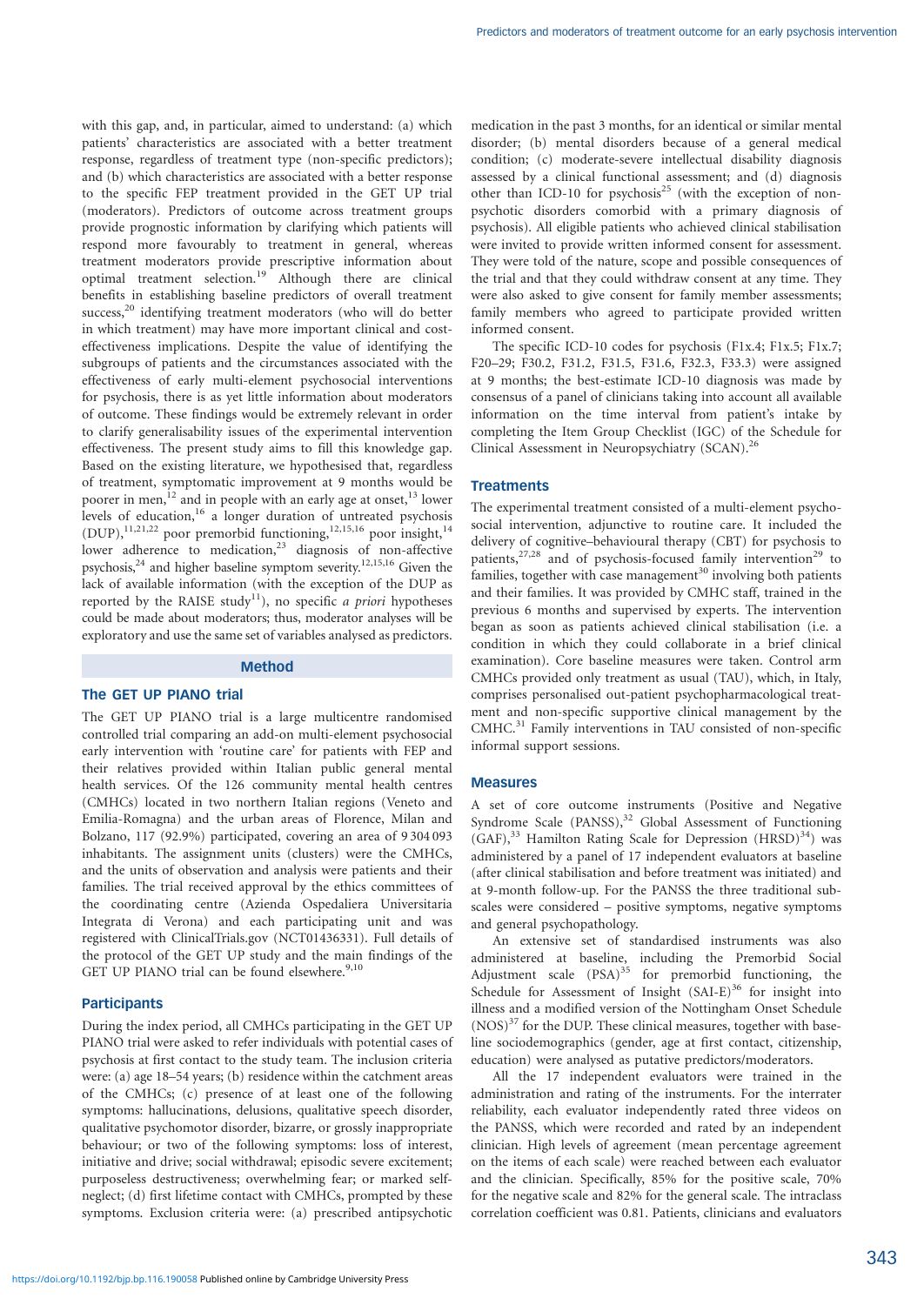with this gap, and, in particular, aimed to understand: (a) which patients' characteristics are associated with a better treatment response, regardless of treatment type (non-specific predictors); and (b) which characteristics are associated with a better response to the specific FEP treatment provided in the GET UP trial (moderators). Predictors of outcome across treatment groups provide prognostic information by clarifying which patients will respond more favourably to treatment in general, whereas treatment moderators provide prescriptive information about optimal treatment selection.<sup>19</sup> Although there are clinical benefits in establishing baseline predictors of overall treatment success,<sup>20</sup> identifying treatment moderators (who will do better in which treatment) may have more important clinical and costeffectiveness implications. Despite the value of identifying the subgroups of patients and the circumstances associated with the effectiveness of early multi-element psychosocial interventions for psychosis, there is as yet little information about moderators of outcome. These findings would be extremely relevant in order to clarify generalisability issues of the experimental intervention effectiveness. The present study aims to fill this knowledge gap. Based on the existing literature, we hypothesised that, regardless of treatment, symptomatic improvement at 9 months would be poorer in men,<sup>12</sup> and in people with an early age at onset,<sup>13</sup> lower levels of education,<sup>16</sup> a longer duration of untreated psychosis (DUP),<sup>11,21,22</sup> poor premorbid functioning,<sup>12,15,16</sup> poor insight,<sup>14</sup> lower adherence to medication,<sup>23</sup> diagnosis of non-affective psychosis,<sup>24</sup> and higher baseline symptom severity.<sup>12,15,16</sup> Given the lack of available information (with the exception of the DUP as reported by the RAISE study<sup>11</sup>), no specific a priori hypotheses could be made about moderators; thus, moderator analyses will be exploratory and use the same set of variables analysed as predictors.

#### Method

# The GET UP PIANO trial

The GET UP PIANO trial is a large multicentre randomised controlled trial comparing an add-on multi-element psychosocial early intervention with 'routine care' for patients with FEP and their relatives provided within Italian public general mental health services. Of the 126 community mental health centres (CMHCs) located in two northern Italian regions (Veneto and Emilia-Romagna) and the urban areas of Florence, Milan and Bolzano, 117 (92.9%) participated, covering an area of 9 304 093 inhabitants. The assignment units (clusters) were the CMHCs, and the units of observation and analysis were patients and their families. The trial received approval by the ethics committees of the coordinating centre (Azienda Ospedaliera Universitaria Integrata di Verona) and each participating unit and was registered with ClinicalTrials.gov (NCT01436331). Full details of the protocol of the GET UP study and the main findings of the GET UP PIANO trial can be found elsewhere. $9,10$ 

## **Participants**

During the index period, all CMHCs participating in the GET UP PIANO trial were asked to refer individuals with potential cases of psychosis at first contact to the study team. The inclusion criteria were: (a) age 18–54 years; (b) residence within the catchment areas of the CMHCs; (c) presence of at least one of the following symptoms: hallucinations, delusions, qualitative speech disorder, qualitative psychomotor disorder, bizarre, or grossly inappropriate behaviour; or two of the following symptoms: loss of interest, initiative and drive; social withdrawal; episodic severe excitement; purposeless destructiveness; overwhelming fear; or marked selfneglect; (d) first lifetime contact with CMHCs, prompted by these symptoms. Exclusion criteria were: (a) prescribed antipsychotic

medication in the past 3 months, for an identical or similar mental disorder; (b) mental disorders because of a general medical condition; (c) moderate-severe intellectual disability diagnosis assessed by a clinical functional assessment; and (d) diagnosis other than ICD-10 for psychosis<sup>25</sup> (with the exception of nonpsychotic disorders comorbid with a primary diagnosis of psychosis). All eligible patients who achieved clinical stabilisation were invited to provide written informed consent for assessment. They were told of the nature, scope and possible consequences of the trial and that they could withdraw consent at any time. They were also asked to give consent for family member assessments; family members who agreed to participate provided written informed consent.

The specific ICD-10 codes for psychosis (F1x.4; F1x.5; F1x.7; F20–29; F30.2, F31.2, F31.5, F31.6, F32.3, F33.3) were assigned at 9 months; the best-estimate ICD-10 diagnosis was made by consensus of a panel of clinicians taking into account all available information on the time interval from patient's intake by completing the Item Group Checklist (IGC) of the Schedule for Clinical Assessment in Neuropsychiatry (SCAN).<sup>26</sup>

## **Treatments**

The experimental treatment consisted of a multi-element psychosocial intervention, adjunctive to routine care. It included the delivery of cognitive–behavioural therapy (CBT) for psychosis to patients, $27,28$  and of psychosis-focused family intervention<sup>29</sup> to families, together with case management<sup>30</sup> involving both patients and their families. It was provided by CMHC staff, trained in the previous 6 months and supervised by experts. The intervention began as soon as patients achieved clinical stabilisation (i.e. a condition in which they could collaborate in a brief clinical examination). Core baseline measures were taken. Control arm CMHCs provided only treatment as usual (TAU), which, in Italy, comprises personalised out-patient psychopharmacological treatment and non-specific supportive clinical management by the CMHC.<sup>31</sup> Family interventions in TAU consisted of non-specific informal support sessions.

### Measures

A set of core outcome instruments (Positive and Negative Syndrome Scale  $(PANSS)$ ,<sup>32</sup> Global Assessment of Functioning  $(GAF)$ ,<sup>33</sup> Hamilton Rating Scale for Depression  $(HRSD)$ <sup>34</sup>) was administered by a panel of 17 independent evaluators at baseline (after clinical stabilisation and before treatment was initiated) and at 9-month follow-up. For the PANSS the three traditional subscales were considered – positive symptoms, negative symptoms and general psychopathology.

An extensive set of standardised instruments was also administered at baseline, including the Premorbid Social Adjustment scale  $(PSA)^{35}$  for premorbid functioning, the Schedule for Assessment of Insight  $(SAI-E)^{36}$  for insight into illness and a modified version of the Nottingham Onset Schedule  $($ NOS $)$ <sup>37</sup> for the DUP. These clinical measures, together with baseline sociodemographics (gender, age at first contact, citizenship, education) were analysed as putative predictors/moderators.

All the 17 independent evaluators were trained in the administration and rating of the instruments. For the interrater reliability, each evaluator independently rated three videos on the PANSS, which were recorded and rated by an independent clinician. High levels of agreement (mean percentage agreement on the items of each scale) were reached between each evaluator and the clinician. Specifically, 85% for the positive scale, 70% for the negative scale and 82% for the general scale. The intraclass correlation coefficient was 0.81. Patients, clinicians and evaluators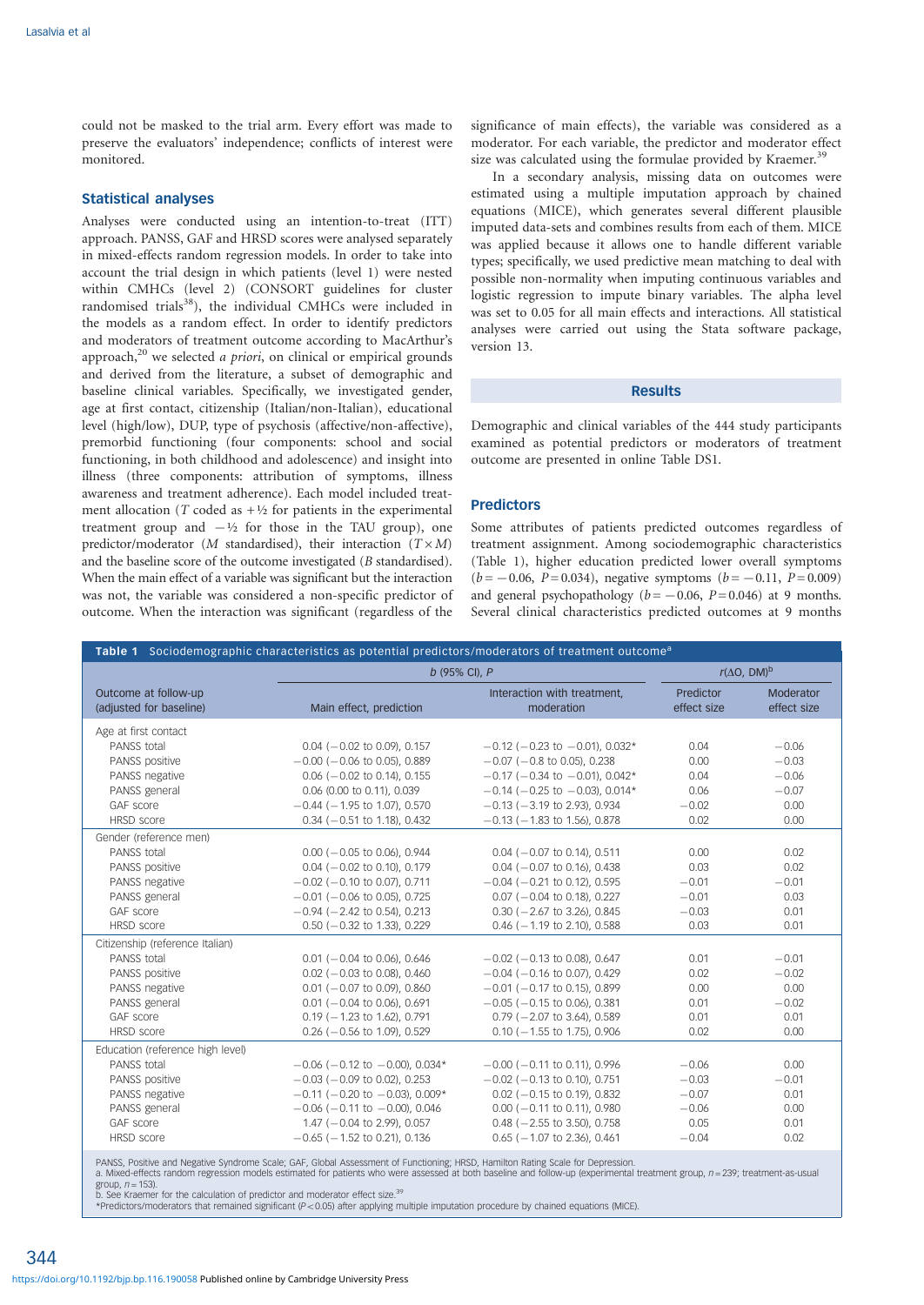could not be masked to the trial arm. Every effort was made to preserve the evaluators' independence; conflicts of interest were monitored.

# Statistical analyses

Analyses were conducted using an intention-to-treat (ITT) approach. PANSS, GAF and HRSD scores were analysed separately in mixed-effects random regression models. In order to take into account the trial design in which patients (level 1) were nested within CMHCs (level 2) (CONSORT guidelines for cluster randomised trials<sup>38</sup>), the individual CMHCs were included in the models as a random effect. In order to identify predictors and moderators of treatment outcome according to MacArthur's approach, $^{20}$  we selected *a priori*, on clinical or empirical grounds and derived from the literature, a subset of demographic and baseline clinical variables. Specifically, we investigated gender, age at first contact, citizenship (Italian/non-Italian), educational level (high/low), DUP, type of psychosis (affective/non-affective), premorbid functioning (four components: school and social functioning, in both childhood and adolescence) and insight into illness (three components: attribution of symptoms, illness awareness and treatment adherence). Each model included treatment allocation (T coded as  $+\frac{1}{2}$  for patients in the experimental treatment group and  $-\frac{1}{2}$  for those in the TAU group), one predictor/moderator (*M* standardised), their interaction ( $T \times M$ ) and the baseline score of the outcome investigated (B standardised). When the main effect of a variable was significant but the interaction was not, the variable was considered a non-specific predictor of outcome. When the interaction was significant (regardless of the

significance of main effects), the variable was considered as a moderator. For each variable, the predictor and moderator effect size was calculated using the formulae provided by Kraemer.<sup>39</sup>

In a secondary analysis, missing data on outcomes were estimated using a multiple imputation approach by chained equations (MICE), which generates several different plausible imputed data-sets and combines results from each of them. MICE was applied because it allows one to handle different variable types; specifically, we used predictive mean matching to deal with possible non-normality when imputing continuous variables and logistic regression to impute binary variables. The alpha level was set to 0.05 for all main effects and interactions. All statistical analyses were carried out using the Stata software package, version 13.

#### **Results**

Demographic and clinical variables of the 444 study participants examined as potential predictors or moderators of treatment outcome are presented in online Table DS1.

# Predictors

Some attributes of patients predicted outcomes regardless of treatment assignment. Among sociodemographic characteristics (Table 1), higher education predicted lower overall symptoms  $(b=-0.06, P= 0.034)$ , negative symptoms  $(b=-0.11, P= 0.009)$ and general psychopathology ( $b = -0.06$ ,  $P = 0.046$ ) at 9 months. Several clinical characteristics predicted outcomes at 9 months

| Table 1 Sociodemographic characteristics as potential predictors/moderators of treatment outcome <sup>a</sup> |                                                                                                                               |                                           |                          |                          |
|---------------------------------------------------------------------------------------------------------------|-------------------------------------------------------------------------------------------------------------------------------|-------------------------------------------|--------------------------|--------------------------|
|                                                                                                               | b (95% CI), P                                                                                                                 |                                           | $r(\Delta O, DM)^b$      |                          |
| Outcome at follow-up<br>(adjusted for baseline)                                                               | Main effect, prediction                                                                                                       | Interaction with treatment,<br>moderation | Predictor<br>effect size | Moderator<br>effect size |
| Age at first contact<br>PANSS total                                                                           | $0.04$ ( $-0.02$ to 0.09), 0.157                                                                                              | $-0.12$ ( $-0.23$ to $-0.01$ ), 0.032*    | 0.04                     | $-0.06$                  |
| PANSS positive                                                                                                | $-0.00$ ( $-0.06$ to 0.05), 0.889                                                                                             | $-0.07$ ( $-0.8$ to 0.05), 0.238          | 0.00                     | $-0.03$                  |
| PANSS negative                                                                                                | $0.06$ ( $-0.02$ to 0.14), 0.155                                                                                              | $-0.17$ ( $-0.34$ to $-0.01$ ), 0.042*    | 0.04                     | $-0.06$                  |
| PANSS general                                                                                                 | 0.06 (0.00 to 0.11), 0.039                                                                                                    | $-0.14$ ( $-0.25$ to $-0.03$ ), 0.014*    | 0.06                     | $-0.07$                  |
| GAF score                                                                                                     | $-0.44$ ( $-1.95$ to 1.07), 0.570                                                                                             | $-0.13$ ( $-3.19$ to 2.93), 0.934         | $-0.02$                  | 0.00                     |
| <b>HRSD</b> score                                                                                             | $0.34$ ( $-0.51$ to 1.18), 0.432                                                                                              | $-0.13$ ( $-1.83$ to 1.56), 0.878         | 0.02                     | 0.00                     |
| Gender (reference men)<br>PANSS total                                                                         | $0.00$ ( $-0.05$ to 0.06), 0.944                                                                                              | $0.04$ ( $-0.07$ to 0.14), 0.511          | 0.00                     | 0.02                     |
| PANSS positive                                                                                                | $0.04$ ( $-0.02$ to 0.10), 0.179                                                                                              | $0.04$ ( $-0.07$ to 0.16), 0.438          | 0.03                     | 0.02                     |
| PANSS negative                                                                                                | $-0.02$ ( $-0.10$ to 0.07), 0.711                                                                                             | $-0.04$ ( $-0.21$ to 0.12), 0.595         | $-0.01$                  | $-0.01$                  |
| PANSS general                                                                                                 | $-0.01$ ( $-0.06$ to 0.05), 0.725                                                                                             | $0.07$ ( $-0.04$ to 0.18), 0.227          | $-0.01$                  | 0.03                     |
| GAF score                                                                                                     | $-0.94$ ( $-2.42$ to 0.54), 0.213                                                                                             | $0.30$ ( $-2.67$ to 3.26), 0.845          | $-0.03$                  | 0.01                     |
| <b>HRSD</b> score                                                                                             | $0.50$ ( $-0.32$ to 1.33), 0.229                                                                                              | $0.46$ ( $-1.19$ to 2.10), 0.588          | 0.03                     | 0.01                     |
| Citizenship (reference Italian)                                                                               |                                                                                                                               |                                           |                          |                          |
| PANSS total                                                                                                   | $0.01$ ( $-0.04$ to 0.06), 0.646                                                                                              | $-0.02$ ( $-0.13$ to 0.08), 0.647         | 0.01                     | $-0.01$                  |
| PANSS positive                                                                                                | $0.02$ ( $-0.03$ to 0.08), 0.460                                                                                              | $-0.04$ ( $-0.16$ to 0.07), 0.429         | 0.02                     | $-0.02$                  |
| PANSS negative                                                                                                | $0.01$ ( $-0.07$ to 0.09), 0.860                                                                                              | $-0.01$ ( $-0.17$ to 0.15), 0.899         | 0.00                     | 0.00                     |
| PANSS general                                                                                                 | $0.01$ ( $-0.04$ to 0.06), 0.691                                                                                              | $-0.05$ ( $-0.15$ to 0.06), 0.381         | 0.01                     | $-0.02$                  |
| GAF score                                                                                                     | $0.19$ ( $-1.23$ to 1.62), 0.791                                                                                              | $0.79$ ( $-2.07$ to 3.64), 0.589          | 0.01                     | 0.01                     |
| HRSD score                                                                                                    | $0.26$ (-0.56 to 1.09), 0.529                                                                                                 | $0.10$ ( $-1.55$ to 1.75), 0.906          | 0.02                     | 0.00                     |
| Education (reference high level)                                                                              |                                                                                                                               |                                           |                          |                          |
| PANSS total                                                                                                   | $-0.06$ ( $-0.12$ to $-0.00$ ), 0.034*                                                                                        | $-0.00$ ( $-0.11$ to 0.11), 0.996         | $-0.06$                  | 0.00                     |
| PANSS positive                                                                                                | $-0.03$ ( $-0.09$ to 0.02), 0.253                                                                                             | $-0.02$ ( $-0.13$ to 0.10), 0.751         | $-0.03$                  | $-0.01$                  |
| PANSS negative                                                                                                | $-0.11$ ( $-0.20$ to $-0.03$ ), 0.009*                                                                                        | $0.02$ ( $-0.15$ to 0.19), 0.832          | $-0.07$                  | 0.01                     |
| PANSS general                                                                                                 | $-0.06$ ( $-0.11$ to $-0.00$ ), 0.046                                                                                         | $0.00$ ( $-0.11$ to 0.11), 0.980          | $-0.06$                  | 0.00                     |
| GAF score                                                                                                     | $1.47$ (-0.04 to 2.99), 0.057                                                                                                 | $0.48$ ( $-2.55$ to 3.50), 0.758          | 0.05                     | 0.01                     |
| HRSD score                                                                                                    | $-0.65$ ( $-1.52$ to 0.21), 0.136                                                                                             | $0.65$ ( $-1.07$ to 2.36), 0.461          | $-0.04$                  | 0.02                     |
|                                                                                                               | DANCS Docitive and Negative Syndrome Scale: CAE, Clobal Assossment of Eunstioning: HPSD, Hamilton Pating Scale for Depression |                                           |                          |                          |

PANSS, Positive and Negative Syndrome Scale; GAF, Global Assessment of Functioning; HRSD, Hamilton Rating Scale for Depression.<br>a. Mixed-effects random regression models estimated for patients who were assessed at both bas group,  $n = 153$ ).

b. See Kraemer for the calculation of predictor and moderator effect size.<sup>39</sup><br>\*Predictors/moderators that remained significant (P<0.05) after applying multiple imputation procedure by chained equations (MICE).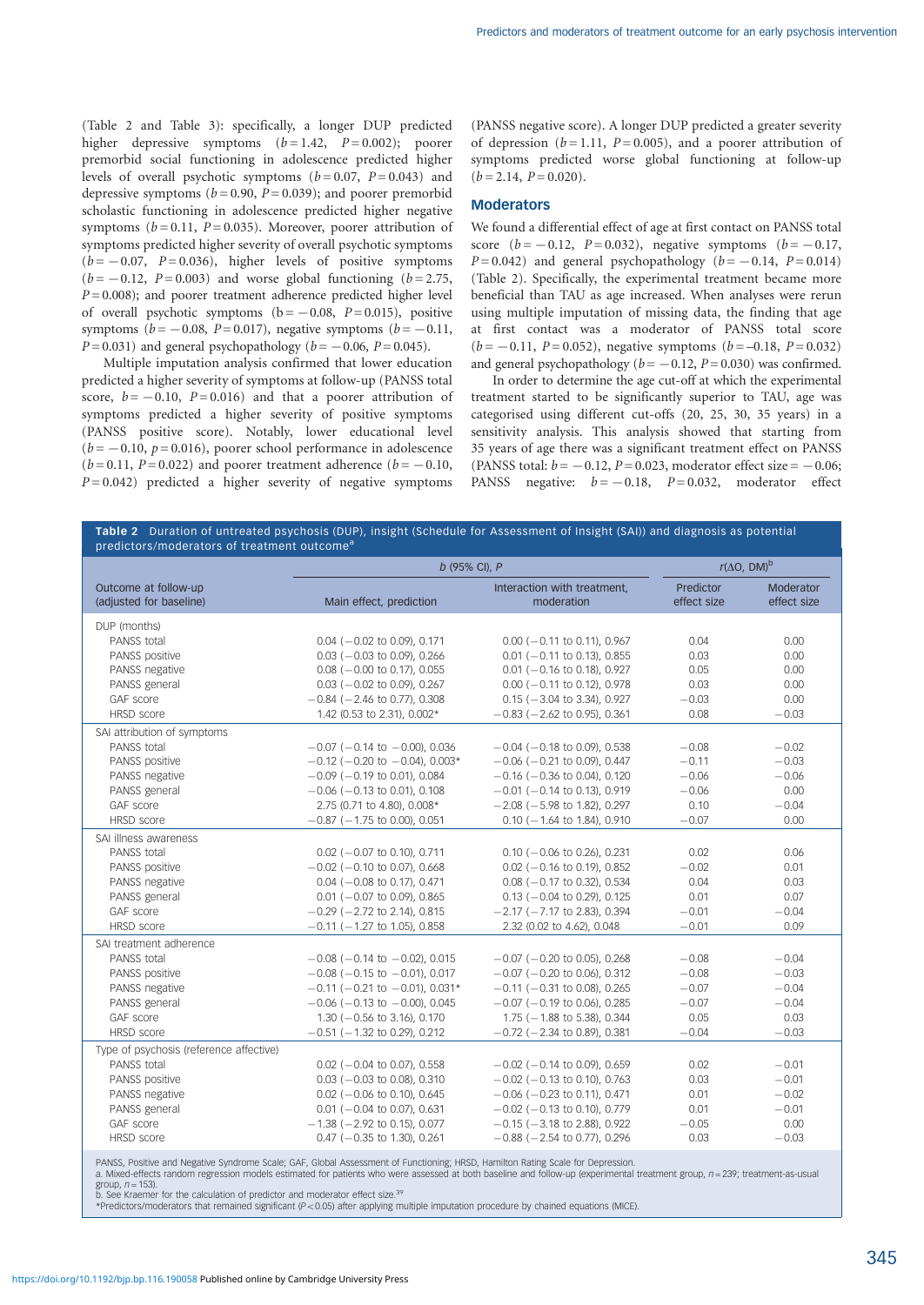(Table 2 and Table 3): specifically, a longer DUP predicted higher depressive symptoms  $(b=1.42, P=0.002)$ ; poorer premorbid social functioning in adolescence predicted higher levels of overall psychotic symptoms  $(b=0.07, P=0.043)$  and depressive symptoms ( $b = 0.90$ ,  $P = 0.039$ ); and poorer premorbid scholastic functioning in adolescence predicted higher negative symptoms ( $b = 0.11$ ,  $P = 0.035$ ). Moreover, poorer attribution of symptoms predicted higher severity of overall psychotic symptoms  $(b = -0.07, P = 0.036)$ , higher levels of positive symptoms  $(b = -0.12, P = 0.003)$  and worse global functioning  $(b = 2.75, P = 0.003)$  $P = 0.008$ ); and poorer treatment adherence predicted higher level of overall psychotic symptoms  $(b = -0.08, P = 0.015)$ , positive symptoms ( $b=-0.08$ , P= 0.017), negative symptoms ( $b=-0.11$ ,  $P = 0.031$ ) and general psychopathology ( $b = -0.06$ ,  $P = 0.045$ ).

Multiple imputation analysis confirmed that lower education predicted a higher severity of symptoms at follow-up (PANSS total score,  $b = -0.10$ ,  $P = 0.016$ ) and that a poorer attribution of symptoms predicted a higher severity of positive symptoms (PANSS positive score). Notably, lower educational level  $(b = -0.10, p = 0.016)$ , poorer school performance in adolescence  $(b=0.11, P=0.022)$  and poorer treatment adherence  $(b=-0.10, P=0.10)$  $P = 0.042$ ) predicted a higher severity of negative symptoms

(PANSS negative score). A longer DUP predicted a greater severity of depression ( $b = 1.11$ ,  $P = 0.005$ ), and a poorer attribution of symptoms predicted worse global functioning at follow-up  $(b = 2.14, P = 0.020).$ 

# **Moderators**

We found a differential effect of age at first contact on PANSS total score  $(b = -0.12, P = 0.032)$ , negative symptoms  $(b = -0.17, P = 0.032)$  $P = 0.042$ ) and general psychopathology ( $b = -0.14$ ,  $P = 0.014$ ) (Table 2). Specifically, the experimental treatment became more beneficial than TAU as age increased. When analyses were rerun using multiple imputation of missing data, the finding that age at first contact was a moderator of PANSS total score  $(b = -0.11, P = 0.052)$ , negative symptoms  $(b = -0.18, P = 0.032)$ and general psychopathology ( $b=-0.12$ ,  $P= 0.030$ ) was confirmed.

In order to determine the age cut-off at which the experimental treatment started to be significantly superior to TAU, age was categorised using different cut-offs (20, 25, 30, 35 years) in a sensitivity analysis. This analysis showed that starting from 35 years of age there was a significant treatment effect on PANSS (PANSS total:  $b = -0.12$ ,  $P = 0.023$ , moderator effect size =  $-0.06$ ; PANSS negative:  $b = -0.18$ ,  $P = 0.032$ , moderator effect

|                                                 | b (95% CI), P                          |                                           | $r(\Delta O, DM)^b$      |                          |
|-------------------------------------------------|----------------------------------------|-------------------------------------------|--------------------------|--------------------------|
| Outcome at follow-up<br>(adjusted for baseline) | Main effect, prediction                | Interaction with treatment,<br>moderation | Predictor<br>effect size | Moderator<br>effect size |
| DUP (months)                                    |                                        |                                           |                          |                          |
| PANSS total                                     | $0.04$ ( $-0.02$ to 0.09), 0.171       | $0.00$ ( $-0.11$ to 0.11), 0.967          | 0.04                     | 0.00                     |
| PANSS positive                                  | $0.03$ ( $-0.03$ to 0.09), 0.266       | $0.01$ ( $-0.11$ to 0.13), 0.855          | 0.03                     | 0.00                     |
| PANSS negative                                  | $0.08$ ( $-0.00$ to 0.17), 0.055       | $0.01$ ( $-0.16$ to 0.18), 0.927          | 0.05                     | 0.00                     |
| PANSS general                                   | $0.03$ ( $-0.02$ to 0.09), 0.267       | $0.00$ ( $-0.11$ to 0.12), 0.978          | 0.03                     | 0.00                     |
| GAF score                                       | $-0.84$ ( $-2.46$ to 0.77), 0.308      | $0.15$ ( $-3.04$ to 3.34), 0.927          | $-0.03$                  | 0.00                     |
| HRSD score                                      | 1.42 (0.53 to 2.31), 0.002*            | $-0.83$ ( $-2.62$ to 0.95), 0.361         | 0.08                     | $-0.03$                  |
| SAI attribution of symptoms                     |                                        |                                           |                          |                          |
| PANSS total                                     | $-0.07$ ( $-0.14$ to $-0.00$ ), 0.036  | $-0.04$ ( $-0.18$ to 0.09), 0.538         | $-0.08$                  | $-0.02$                  |
| PANSS positive                                  | $-0.12$ ( $-0.20$ to $-0.04$ ), 0.003* | $-0.06$ ( $-0.21$ to 0.09), 0.447         | $-0.11$                  | $-0.03$                  |
| PANSS negative                                  | $-0.09$ ( $-0.19$ to 0.01), 0.084      | $-0.16$ ( $-0.36$ to 0.04), 0.120         | $-0.06$                  | $-0.06$                  |
| PANSS general                                   | $-0.06$ ( $-0.13$ to 0.01), 0.108      | $-0.01$ ( $-0.14$ to 0.13), 0.919         | $-0.06$                  | 0.00                     |
| GAF score                                       | 2.75 (0.71 to 4.80), 0.008*            | $-2.08$ ( $-5.98$ to 1.82), 0.297         | 0.10                     | $-0.04$                  |
| <b>HRSD</b> score                               | $-0.87$ ( $-1.75$ to 0.00), 0.051      | $0.10$ ( $-1.64$ to 1.84), 0.910          | $-0.07$                  | 0.00                     |
| SAI illness awareness                           |                                        |                                           |                          |                          |
| PANSS total                                     | $0.02$ (-0.07 to 0.10), 0.711          | $0.10$ ( $-0.06$ to 0.26), 0.231          | 0.02                     | 0.06                     |
| PANSS positive                                  | $-0.02$ ( $-0.10$ to 0.07), 0.668      | $0.02$ ( $-0.16$ to 0.19), 0.852          | $-0.02$                  | 0.01                     |
| PANSS negative                                  | $0.04$ (-0.08 to 0.17), 0.471          | $0.08$ ( $-0.17$ to 0.32), 0.534          | 0.04                     | 0.03                     |
| PANSS general                                   | $0.01$ ( $-0.07$ to 0.09), 0.865       | $0.13$ ( $-0.04$ to 0.29), 0.125          | 0.01                     | 0.07                     |
| GAF score                                       | $-0.29$ ( $-2.72$ to 2.14), 0.815      | $-2.17$ ( $-7.17$ to 2.83), 0.394         | $-0.01$                  | $-0.04$                  |
| <b>HRSD</b> score                               | $-0.11$ ( $-1.27$ to 1.05), 0.858      | 2.32 (0.02 to 4.62), 0.048                | $-0.01$                  | 0.09                     |
| SAI treatment adherence                         |                                        |                                           |                          |                          |
| PANSS total                                     | $-0.08$ ( $-0.14$ to $-0.02$ ), 0.015  | $-0.07$ ( $-0.20$ to 0.05), 0.268         | $-0.08$                  | $-0.04$                  |
| PANSS positive                                  | $-0.08$ ( $-0.15$ to $-0.01$ ), 0.017  | $-0.07$ ( $-0.20$ to 0.06), 0.312         | $-0.08$                  | $-0.03$                  |
| PANSS negative                                  | $-0.11$ ( $-0.21$ to $-0.01$ ), 0.031* | $-0.11$ ( $-0.31$ to 0.08), 0.265         | $-0.07$                  | $-0.04$                  |
| PANSS general                                   | $-0.06$ ( $-0.13$ to $-0.00$ ), 0.045  | $-0.07$ ( $-0.19$ to 0.06), 0.285         | $-0.07$                  | $-0.04$                  |
| GAF score                                       | $1.30$ ( $-0.56$ to 3.16), 0.170       | 1.75 (-1.88 to 5.38), 0.344               | 0.05                     | 0.03                     |
| <b>HRSD</b> score                               | $-0.51$ ( $-1.32$ to 0.29), 0.212      | $-0.72$ ( $-2.34$ to 0.89), 0.381         | $-0.04$                  | $-0.03$                  |
| Type of psychosis (reference affective)         |                                        |                                           |                          |                          |
| PANSS total                                     | $0.02$ ( $-0.04$ to 0.07), 0.558       | $-0.02$ ( $-0.14$ to 0.09), 0.659         | 0.02                     | $-0.01$                  |
| PANSS positive                                  | $0.03$ ( $-0.03$ to 0.08), 0.310       | $-0.02$ ( $-0.13$ to 0.10), 0.763         | 0.03                     | $-0.01$                  |
| PANSS negative                                  | $0.02$ (-0.06 to 0.10), 0.645          | $-0.06$ ( $-0.23$ to 0.11), 0.471         | 0.01                     | $-0.02$                  |
| PANSS general                                   | $0.01$ ( $-0.04$ to 0.07), 0.631       | $-0.02$ ( $-0.13$ to 0.10), 0.779         | 0.01                     | $-0.01$                  |
| GAF score                                       | $-1.38$ ( $-2.92$ to 0.15), 0.077      | $-0.15$ ( $-3.18$ to 2.88), 0.922         | $-0.05$                  | 0.00                     |
| <b>HRSD</b> score                               | $0.47$ (-0.35 to 1.30), 0.261          | $-0.88$ ( $-2.54$ to 0.77), 0.296         | 0.03                     | $-0.03$                  |

ts random regression models estimated for patients who were assessed at both baseline and follow-up (experimental treatment group, n = 239; treatment-as-usual group,  $n = 153$ ).

b. See Kraemer for the calculation of predictor and moderator effect size.<sup>39</sup><br>\*Predictors/moderators that remained significant (P<0.05) after applying multiple imputation procedure by chained equations (MICE).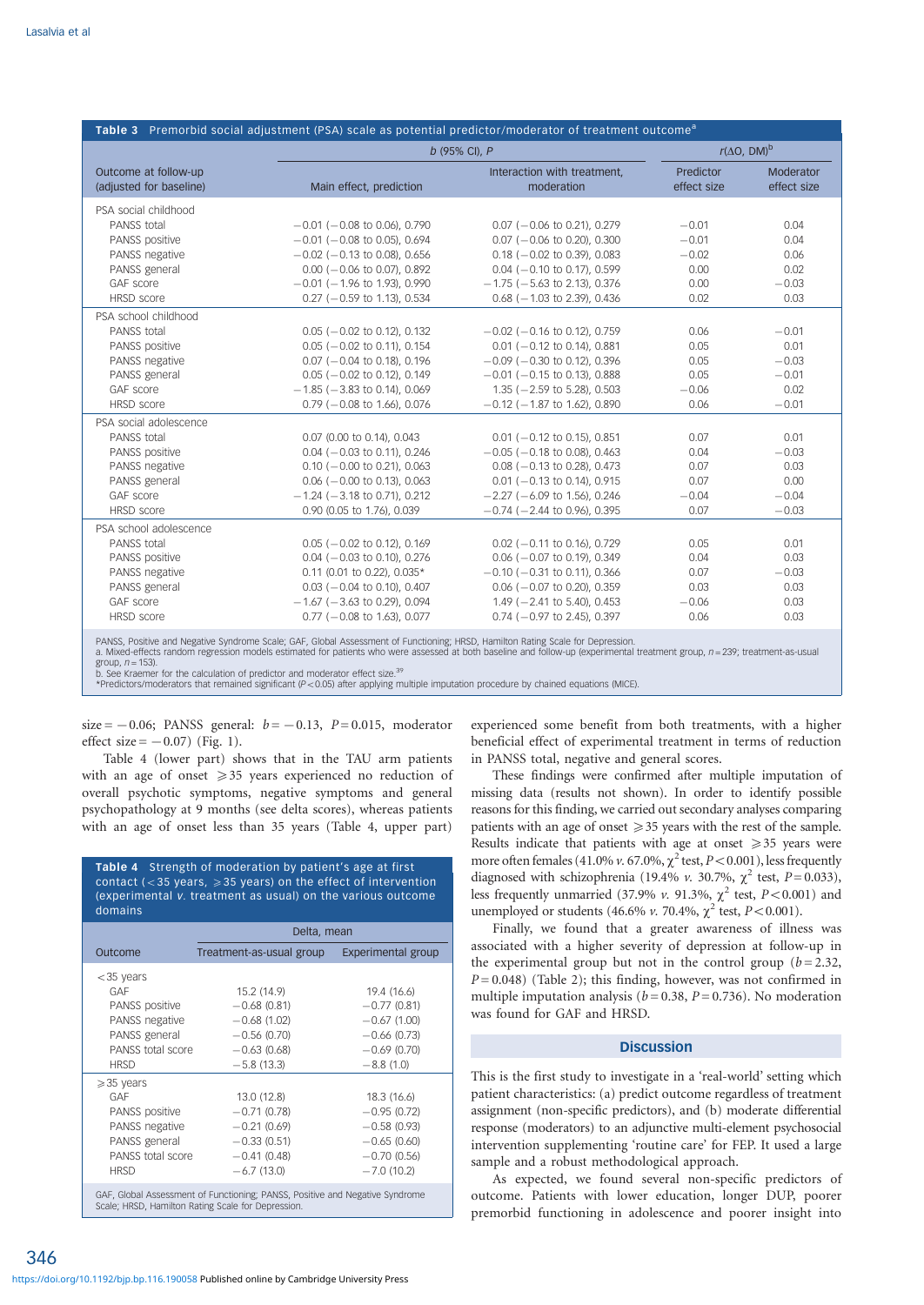| Table 3 Premorbid social adjustment (PSA) scale as potential predictor/moderator of treatment outcome <sup>a</sup> |                                                                                                                                                                                                                                                                                                                                                                                                                                                           |                                           |                          |                          |
|--------------------------------------------------------------------------------------------------------------------|-----------------------------------------------------------------------------------------------------------------------------------------------------------------------------------------------------------------------------------------------------------------------------------------------------------------------------------------------------------------------------------------------------------------------------------------------------------|-------------------------------------------|--------------------------|--------------------------|
|                                                                                                                    | b (95% CI), P                                                                                                                                                                                                                                                                                                                                                                                                                                             |                                           | $r(\Delta O, DM)^b$      |                          |
| Outcome at follow-up<br>(adjusted for baseline)                                                                    | Main effect, prediction                                                                                                                                                                                                                                                                                                                                                                                                                                   | Interaction with treatment,<br>moderation | Predictor<br>effect size | Moderator<br>effect size |
| PSA social childhood                                                                                               |                                                                                                                                                                                                                                                                                                                                                                                                                                                           |                                           |                          |                          |
| PANSS total                                                                                                        | $-0.01$ ( $-0.08$ to 0.06), 0.790                                                                                                                                                                                                                                                                                                                                                                                                                         | $0.07$ (-0.06 to 0.21), 0.279             | $-0.01$                  | 0.04                     |
| PANSS positive                                                                                                     | $-0.01$ ( $-0.08$ to 0.05), 0.694                                                                                                                                                                                                                                                                                                                                                                                                                         | $0.07$ (-0.06 to 0.20), 0.300             | $-0.01$                  | 0.04                     |
| PANSS negative                                                                                                     | $-0.02$ ( $-0.13$ to 0.08), 0.656                                                                                                                                                                                                                                                                                                                                                                                                                         | $0.18$ ( $-0.02$ to 0.39), 0.083          | $-0.02$                  | 0.06                     |
| PANSS general                                                                                                      | $0.00$ ( $-0.06$ to 0.07), 0.892                                                                                                                                                                                                                                                                                                                                                                                                                          | $0.04$ ( $-0.10$ to 0.17), 0.599          | 0.00                     | 0.02                     |
| GAF score                                                                                                          | $-0.01$ ( $-1.96$ to 1.93), 0.990                                                                                                                                                                                                                                                                                                                                                                                                                         | $-1.75$ ( $-5.63$ to 2.13), 0.376         | 0.00                     | $-0.03$                  |
| <b>HRSD</b> score                                                                                                  | $0.27$ (-0.59 to 1.13), 0.534                                                                                                                                                                                                                                                                                                                                                                                                                             | $0.68$ ( $-1.03$ to 2.39), 0.436          | 0.02                     | 0.03                     |
| PSA school childhood                                                                                               |                                                                                                                                                                                                                                                                                                                                                                                                                                                           |                                           |                          |                          |
| PANSS total                                                                                                        | $0.05$ ( $-0.02$ to 0.12), 0.132                                                                                                                                                                                                                                                                                                                                                                                                                          | $-0.02$ ( $-0.16$ to 0.12), 0.759         | 0.06                     | $-0.01$                  |
| PANSS positive                                                                                                     | $0.05$ ( $-0.02$ to 0.11), 0.154                                                                                                                                                                                                                                                                                                                                                                                                                          | $0.01$ (-0.12 to 0.14), 0.881             | 0.05                     | 0.01                     |
| PANSS negative                                                                                                     | $0.07$ ( $-0.04$ to 0.18), 0.196                                                                                                                                                                                                                                                                                                                                                                                                                          | $-0.09$ ( $-0.30$ to 0.12), 0.396         | 0.05                     | $-0.03$                  |
| PANSS general                                                                                                      | $0.05$ ( $-0.02$ to 0.12), 0.149                                                                                                                                                                                                                                                                                                                                                                                                                          | $-0.01$ ( $-0.15$ to 0.13), 0.888         | 0.05                     | $-0.01$                  |
| GAF score                                                                                                          | $-1.85$ ( $-3.83$ to 0.14), 0.069                                                                                                                                                                                                                                                                                                                                                                                                                         | $1.35$ ( $-2.59$ to 5.28), 0.503          | $-0.06$                  | 0.02                     |
| <b>HRSD</b> score                                                                                                  | $0.79$ ( $-0.08$ to 1.66), 0.076                                                                                                                                                                                                                                                                                                                                                                                                                          | $-0.12$ ( $-1.87$ to 1.62), 0.890         | 0.06                     | $-0.01$                  |
| PSA social adolescence                                                                                             |                                                                                                                                                                                                                                                                                                                                                                                                                                                           |                                           |                          |                          |
| PANSS total                                                                                                        | 0.07 (0.00 to 0.14), 0.043                                                                                                                                                                                                                                                                                                                                                                                                                                | $0.01$ ( $-0.12$ to 0.15), 0.851          | 0.07                     | 0.01                     |
| PANSS positive                                                                                                     | $0.04$ ( $-0.03$ to 0.11), 0.246                                                                                                                                                                                                                                                                                                                                                                                                                          | $-0.05$ ( $-0.18$ to 0.08), 0.463         | 0.04                     | $-0.03$                  |
| PANSS negative                                                                                                     | $0.10$ ( $-0.00$ to 0.21), 0.063                                                                                                                                                                                                                                                                                                                                                                                                                          | $0.08$ ( $-0.13$ to 0.28), 0.473          | 0.07                     | 0.03                     |
| PANSS general                                                                                                      | $0.06$ ( $-0.00$ to 0.13), 0.063                                                                                                                                                                                                                                                                                                                                                                                                                          | $0.01$ ( $-0.13$ to 0.14), 0.915          | 0.07                     | 0.00                     |
| GAF score                                                                                                          | $-1.24$ ( $-3.18$ to 0.71), 0.212                                                                                                                                                                                                                                                                                                                                                                                                                         | $-2.27$ ( $-6.09$ to 1.56), 0.246         | $-0.04$                  | $-0.04$                  |
| <b>HRSD</b> score                                                                                                  | 0.90 (0.05 to 1.76), 0.039                                                                                                                                                                                                                                                                                                                                                                                                                                | $-0.74$ ( $-2.44$ to 0.96), 0.395         | 0.07                     | $-0.03$                  |
| PSA school adolescence                                                                                             |                                                                                                                                                                                                                                                                                                                                                                                                                                                           |                                           |                          |                          |
| PANSS total                                                                                                        | $0.05$ ( $-0.02$ to 0.12), 0.169                                                                                                                                                                                                                                                                                                                                                                                                                          | $0.02$ ( $-0.11$ to 0.16), 0.729          | 0.05                     | 0.01                     |
| PANSS positive                                                                                                     | $0.04$ ( $-0.03$ to 0.10), 0.276                                                                                                                                                                                                                                                                                                                                                                                                                          | $0.06$ ( $-0.07$ to 0.19), 0.349          | 0.04                     | 0.03                     |
| PANSS negative                                                                                                     | 0.11 (0.01 to 0.22), 0.035*                                                                                                                                                                                                                                                                                                                                                                                                                               | $-0.10$ ( $-0.31$ to 0.11), 0.366         | 0.07                     | $-0.03$                  |
| PANSS general                                                                                                      | $0.03$ (-0.04 to 0.10), 0.407                                                                                                                                                                                                                                                                                                                                                                                                                             | $0.06$ ( $-0.07$ to 0.20), 0.359          | 0.03                     | 0.03                     |
| GAF score                                                                                                          | $-1.67$ ( $-3.63$ to 0.29), 0.094                                                                                                                                                                                                                                                                                                                                                                                                                         | $1.49$ ( $-2.41$ to 5.40), 0.453          | $-0.06$                  | 0.03                     |
| HRSD score                                                                                                         | $0.77$ (-0.08 to 1.63), 0.077                                                                                                                                                                                                                                                                                                                                                                                                                             | $0.74$ ( $-0.97$ to 2.45), 0.397          | 0.06                     | 0.03                     |
| group, $n = 153$ ).<br>b. See Kraemer for the calculation of predictor and moderator effect size. <sup>39</sup>    | PANSS, Positive and Negative Syndrome Scale; GAF, Global Assessment of Functioning; HRSD, Hamilton Rating Scale for Depression.<br>a. Mixed-effects random regression models estimated for patients who were assessed at both baseline and follow-up (experimental treatment group, $n = 239$ ; treatment-as-usual<br>*Predictors/moderators that remained significant (P<0.05) after applying multiple imputation procedure by chained equations (MICE). |                                           |                          |                          |

size =  $-0.06$ ; PANSS general:  $b = -0.13$ , P= 0.015, moderator effect size  $=$   $-0.07$ ) (Fig. 1).

Table 4 (lower part) shows that in the TAU arm patients with an age of onset  $\geq 35$  years experienced no reduction of overall psychotic symptoms, negative symptoms and general psychopathology at 9 months (see delta scores), whereas patients with an age of onset less than 35 years (Table 4, upper part)

Table 4 Strength of moderation by patient's age at first

|                      | Delta, mean              |                    |  |
|----------------------|--------------------------|--------------------|--|
| <b>Outcome</b>       | Treatment-as-usual group | Experimental group |  |
| $<$ 35 years         |                          |                    |  |
| GAF                  | 15.2 (14.9)              | 19.4 (16.6)        |  |
| PANSS positive       | $-0.68(0.81)$            | $-0.77(0.81)$      |  |
| PANSS negative       | $-0.68(1.02)$            | $-0.67(1.00)$      |  |
| PANSS general        | $-0.56(0.70)$            | $-0.66(0.73)$      |  |
| PANSS total score    | $-0.63(0.68)$            | $-0.69(0.70)$      |  |
| <b>HRSD</b>          | $-5.8(13.3)$             | $-8.8(1.0)$        |  |
| $\geqslant$ 35 years |                          |                    |  |
| GAF                  | 13.0 (12.8)              | 18.3 (16.6)        |  |
| PANSS positive       | $-0.71(0.78)$            | $-0.95(0.72)$      |  |
| PANSS negative       | $-0.21(0.69)$            | $-0.58(0.93)$      |  |
| PANSS general        | $-0.33(0.51)$            | $-0.65(0.60)$      |  |
| PANSS total score    | $-0.41(0.48)$            | $-0.70(0.56)$      |  |
| <b>HRSD</b>          | $-6.7(13.0)$             | $-7.0(10.2)$       |  |

experienced some benefit from both treatments, with a higher beneficial effect of experimental treatment in terms of reduction in PANSS total, negative and general scores.

These findings were confirmed after multiple imputation of missing data (results not shown). In order to identify possible reasons for this finding, we carried out secondary analyses comparing patients with an age of onset  $\geq$  35 years with the rest of the sample. Results indicate that patients with age at onset  $\geq 35$  years were more often females (41.0% v. 67.0%,  $\chi^2$  test, P < 0.001), less frequently diagnosed with schizophrenia (19.4% v. 30.7%,  $\chi^2$  test, P=0.033), less frequently unmarried (37.9% v. 91.3%,  $\chi^2$  test,  $P<0.001$ ) and unemployed or students (46.6% v. 70.4%,  $\chi^2$  test,  $P < 0.001$ ).

Finally, we found that a greater awareness of illness was associated with a higher severity of depression at follow-up in the experimental group but not in the control group  $(b=2.32,$  $P = 0.048$ ) (Table 2); this finding, however, was not confirmed in multiple imputation analysis ( $b = 0.38$ ,  $P = 0.736$ ). No moderation was found for GAF and HRSD.

# **Discussion**

This is the first study to investigate in a 'real-world' setting which patient characteristics: (a) predict outcome regardless of treatment assignment (non-specific predictors), and (b) moderate differential response (moderators) to an adjunctive multi-element psychosocial intervention supplementing 'routine care' for FEP. It used a large sample and a robust methodological approach.

As expected, we found several non-specific predictors of outcome. Patients with lower education, longer DUP, poorer premorbid functioning in adolescence and poorer insight into

346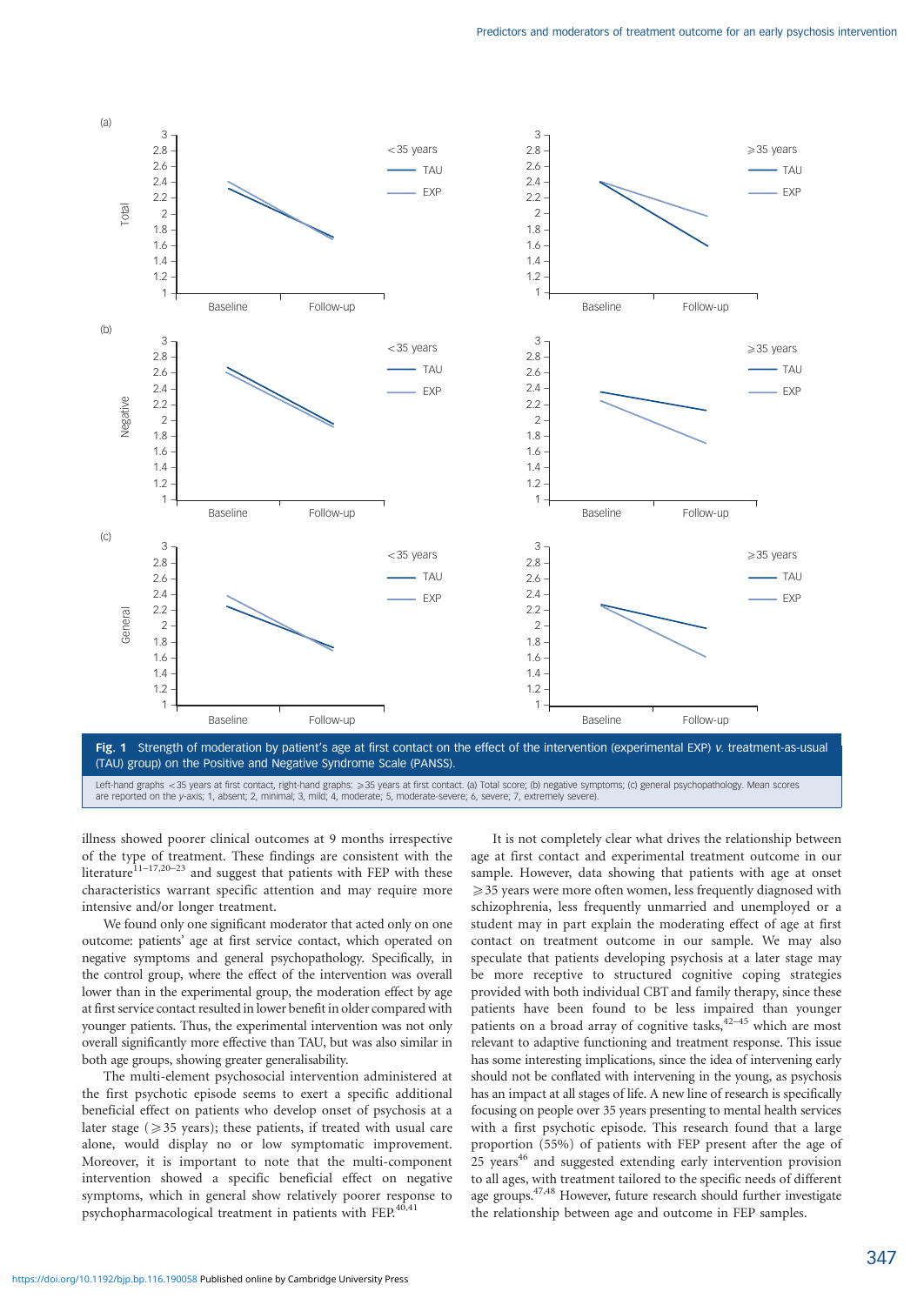

Left-hand graphs <35 years at first contact, right-hand graphs: ≥35 years at first contact. (a) Total score; (b) negative symptoms; (c) general psychopathology. Mean scores<br>are reported on the y-axis; 1, absent; 2, minima

illness showed poorer clinical outcomes at 9 months irrespective of the type of treatment. These findings are consistent with the literature<sup>11-17,20-23</sup> and suggest that patients with FEP with these characteristics warrant specific attention and may require more intensive and/or longer treatment.

We found only one significant moderator that acted only on one outcome: patients' age at first service contact, which operated on negative symptoms and general psychopathology. Specifically, in the control group, where the effect of the intervention was overall lower than in the experimental group, the moderation effect by age at first service contact resulted in lower benefit in older compared with younger patients. Thus, the experimental intervention was not only overall significantly more effective than TAU, but was also similar in both age groups, showing greater generalisability.

The multi-element psychosocial intervention administered at the first psychotic episode seems to exert a specific additional beneficial effect on patients who develop onset of psychosis at a later stage ( $\geq$  35 years); these patients, if treated with usual care alone, would display no or low symptomatic improvement. Moreover, it is important to note that the multi-component intervention showed a specific beneficial effect on negative symptoms, which in general show relatively poorer response to psychopharmacological treatment in patients with FEP.<sup>40,41</sup>

It is not completely clear what drives the relationship between age at first contact and experimental treatment outcome in our sample. However, data showing that patients with age at onset  $\geq$  35 years were more often women, less frequently diagnosed with schizophrenia, less frequently unmarried and unemployed or a student may in part explain the moderating effect of age at first contact on treatment outcome in our sample. We may also speculate that patients developing psychosis at a later stage may be more receptive to structured cognitive coping strategies provided with both individual CBT and family therapy, since these patients have been found to be less impaired than younger patients on a broad array of cognitive tasks,  $42-45$  which are most relevant to adaptive functioning and treatment response. This issue has some interesting implications, since the idea of intervening early should not be conflated with intervening in the young, as psychosis has an impact at all stages of life. A new line of research is specifically focusing on people over 35 years presenting to mental health services with a first psychotic episode. This research found that a large proportion (55%) of patients with FEP present after the age of 25 years<sup>46</sup> and suggested extending early intervention provision to all ages, with treatment tailored to the specific needs of different age groups.47,48 However, future research should further investigate the relationship between age and outcome in FEP samples.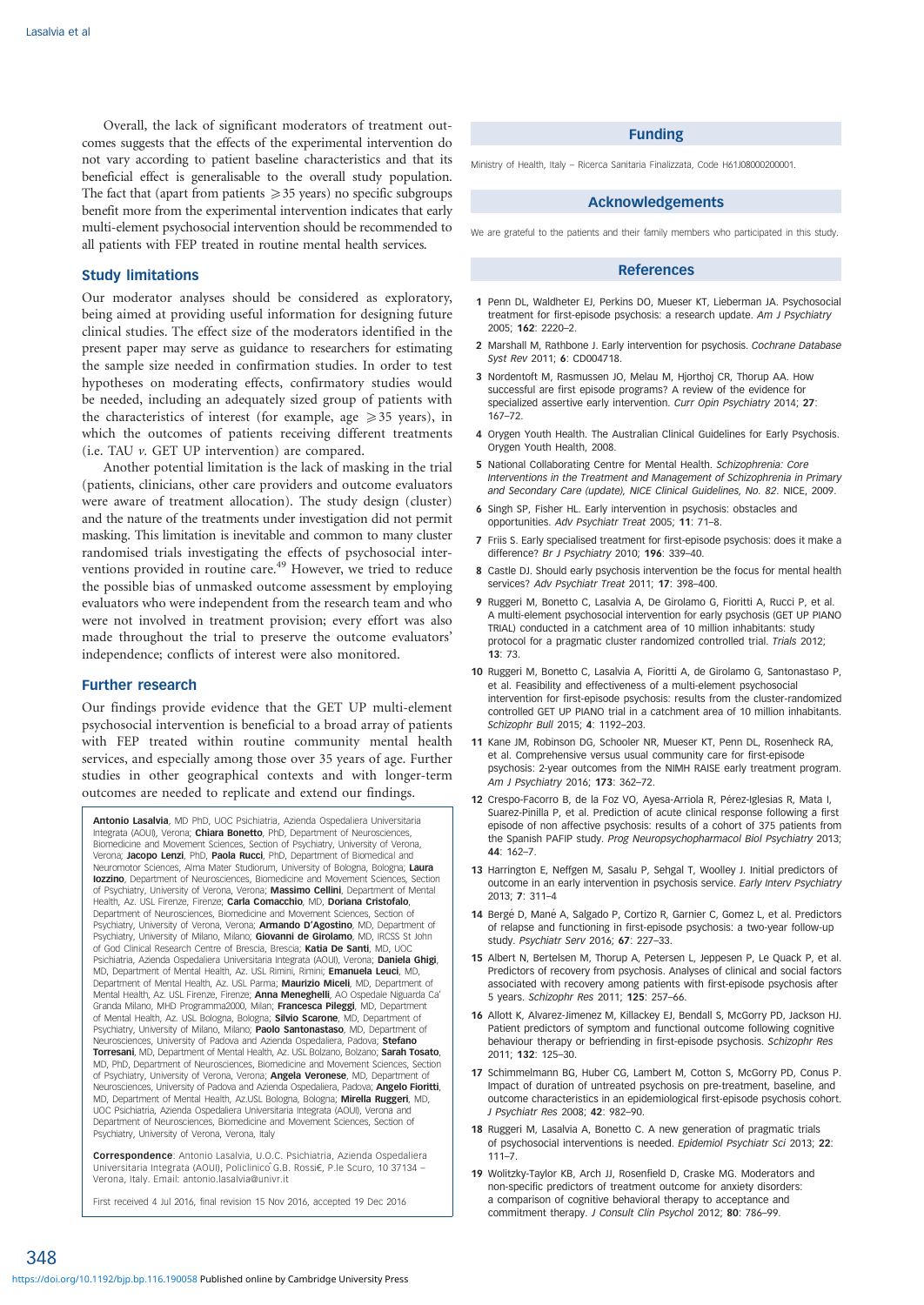Overall, the lack of significant moderators of treatment outcomes suggests that the effects of the experimental intervention do not vary according to patient baseline characteristics and that its beneficial effect is generalisable to the overall study population. The fact that (apart from patients  $\geq$  35 years) no specific subgroups benefit more from the experimental intervention indicates that early multi-element psychosocial intervention should be recommended to all patients with FEP treated in routine mental health services.

# Study limitations

Our moderator analyses should be considered as exploratory, being aimed at providing useful information for designing future clinical studies. The effect size of the moderators identified in the present paper may serve as guidance to researchers for estimating the sample size needed in confirmation studies. In order to test hypotheses on moderating effects, confirmatory studies would be needed, including an adequately sized group of patients with the characteristics of interest (for example, age  $\geq 35$  years), in which the outcomes of patients receiving different treatments (i.e. TAU v. GET UP intervention) are compared.

Another potential limitation is the lack of masking in the trial (patients, clinicians, other care providers and outcome evaluators were aware of treatment allocation). The study design (cluster) and the nature of the treatments under investigation did not permit masking. This limitation is inevitable and common to many cluster randomised trials investigating the effects of psychosocial interventions provided in routine care.<sup>49</sup> However, we tried to reduce the possible bias of unmasked outcome assessment by employing evaluators who were independent from the research team and who were not involved in treatment provision; every effort was also made throughout the trial to preserve the outcome evaluators' independence; conflicts of interest were also monitored.

## Further research

Our findings provide evidence that the GET UP multi-element psychosocial intervention is beneficial to a broad array of patients with FEP treated within routine community mental health services, and especially among those over 35 years of age. Further studies in other geographical contexts and with longer-term outcomes are needed to replicate and extend our findings.

Antonio Lasalvia, MD PhD, UOC Psichiatria, Azienda Ospedaliera Universitaria Integrata (AOUI), Verona; Chiara Bonetto, PhD, Department of Neurosciences, Biomedicine and Movement Sciences, Section of Psychiatry, University of Verona, Verona; Jacopo Lenzi, PhD, Paola Rucci, PhD, Department of Biomedical and Neuromotor Sciences, Alma Mater Studiorum, University of Bologna, Bologna; Laura Iozzino, Department of Neurosciences, Biomedicine and Movement Sciences, Section of Psychiatry, University of Verona, Verona; Massimo Cellini, Department of Mental Health, Az. USL Firenze, Firenze; Carla Comacchio, MD, Doriana Cristofalo, Department of Neurosciences, Biomedicine and Movement Sciences, Section of Psychiatry, University of Verona, Verona; Armando D'Agostino, MD, Department of Psychiatry, University of Milano, Milano; Giovanni de Girolamo, MD, IRCSS St John of God Clinical Research Centre of Brescia, Brescia; Katia De Santi, MD, UOC Psichiatria, Azienda Ospedaliera Universitaria Integrata (AOUI), Verona; Daniela Ghigi, MD, Department of Mental Health, Az. USL Rimini, Rimini; Emanuela Leuci, MD, Department of Mental Health, Az. USL Parma; Maurizio Miceli, MD, Department of Mental Health, Az. USL Firenze, Firenze; Anna Meneghelli, AO Ospedale Niguarda Ca' Granda Milano, MHD Programma2000, Milan; Francesca Pileggi, MD, Department of Mental Health, Az. USL Bologna, Bologna; Silvio Scarone, MD, Department of Psychiatry, University of Milano, Milano; Paolo Santonastaso, MD, Department of Neurosciences, University of Padova and Azienda Ospedaliera, Padova; Stefano Torresani, MD, Department of Mental Health, Az. USL Bolzano, Bolzano; Sarah Tosato, MD, PhD, Department of Neurosciences, Biomedicine and Movement Sciences, Section of Psychiatry, University of Verona, Verona; Angela Veronese, MD, Department of Neurosciences, University of Padova and Azienda Ospedaliera, Padova; Angelo Fioritti MD, Department of Mental Health, Az.USL Bologna, Bologna; Mirella Ruggeri, MD, UOC Psichiatria, Azienda Ospedaliera Universitaria Integrata (AOUI), Verona and Department of Neurosciences, Biomedicine and Movement Sciences, Section of Psychiatry, University of Verona, Verona, Italy

Correspondence: Antonio Lasalvia, U.O.C. Psichiatria, Azienda Ospedaliera Universitaria Integrata (AOUI), Policlinico C.B. Rossi€, P.le Scuro, 10 37134 -Verona, Italy. Email: antonio.lasalvia@univr.it

First received 4 Jul 2016, final revision 15 Nov 2016, accepted 19 Dec 2016

#### Funding

Ministry of Health, Italy – Ricerca Sanitaria Finalizzata, Code H61J08000200001.

# Acknowledgements

We are grateful to the patients and their family members who participated in this study

#### References

- 1 Penn DL, Waldheter EJ, Perkins DO, Mueser KT, Lieberman JA, Psychosocial treatment for first-episode psychosis: a research update. Am J Psychiatry 2005; 162: 2220–2.
- 2 Marshall M, Rathbone J. Early intervention for psychosis. Cochrane Database Syst Rev 2011; 6: CD004718.
- 3 Nordentoft M, Rasmussen JO, Melau M, Hjorthoj CR, Thorup AA. How successful are first episode programs? A review of the evidence for specialized assertive early intervention. Curr Opin Psychiatry 2014; 27: 167–72.
- 4 Orygen Youth Health. The Australian Clinical Guidelines for Early Psychosis. Orygen Youth Health, 2008.
- 5 National Collaborating Centre for Mental Health. Schizophrenia: Core Interventions in the Treatment and Management of Schizophrenia in Primary and Secondary Care (update), NICE Clinical Guidelines, No. 82. NICE, 2009.
- 6 Singh SP, Fisher HL. Early intervention in psychosis: obstacles and opportunities. Adv Psychiatr Treat 2005; 11: 71–8.
- 7 Friis S. Early specialised treatment for first-episode psychosis: does it make a difference? Br J Psychiatry 2010; 196: 339–40.
- 8 Castle DJ. Should early psychosis intervention be the focus for mental health services? Adv Psychiatr Treat 2011; 17: 398–400.
- 9 Ruggeri M, Bonetto C, Lasalvia A, De Girolamo G, Fioritti A, Rucci P, et al. A multi-element psychosocial intervention for early psychosis (GET UP PIANO TRIAL) conducted in a catchment area of 10 million inhabitants: study protocol for a pragmatic cluster randomized controlled trial. Trials 2012; 13: 73.
- 10 Ruggeri M, Bonetto C, Lasalvia A, Fioritti A, de Girolamo G, Santonastaso P, et al. Feasibility and effectiveness of a multi-element psychosocial intervention for first-episode psychosis: results from the cluster-randomized controlled GET UP PIANO trial in a catchment area of 10 million inhabitants. Schizophr Bull 2015; 4: 1192–203.
- 11 Kane JM, Robinson DG, Schooler NR, Mueser KT, Penn DL, Rosenheck RA, et al. Comprehensive versus usual community care for first-episode psychosis: 2-year outcomes from the NIMH RAISE early treatment program. Am J Psychiatry 2016; 173: 362–72.
- 12 Crespo-Facorro B, de la Foz VO, Ayesa-Arriola R, Pérez-Iglesias R, Mata I, Suarez-Pinilla P, et al. Prediction of acute clinical response following a first episode of non affective psychosis: results of a cohort of 375 patients from the Spanish PAFIP study. Prog Neuropsychopharmacol Biol Psychiatry 2013; 44: 162–7.
- 13 Harrington E, Neffgen M, Sasalu P, Sehgal T, Woolley J. Initial predictors of outcome in an early intervention in psychosis service. Early Interv Psychiatry 2013; 7: 311–4
- 14 Bergé D, Mané A, Salgado P, Cortizo R, Garnier C, Gomez L, et al. Predictors of relapse and functioning in first-episode psychosis: a two-year follow-up study. Psychiatr Serv 2016; 67: 227–33.
- 15 Albert N, Bertelsen M, Thorup A, Petersen L, Jeppesen P, Le Quack P, et al. Predictors of recovery from psychosis. Analyses of clinical and social factors associated with recovery among patients with first-episode psychosis after 5 years. Schizophr Res 2011; 125: 257–66.
- 16 Allott K, Alvarez-Jimenez M, Killackey EJ, Bendall S, McGorry PD, Jackson HJ. Patient predictors of symptom and functional outcome following cognitive behaviour therapy or befriending in first-episode psychosis. Schizophr Res 2011; 132: 125–30.
- 17 Schimmelmann BG, Huber CG, Lambert M, Cotton S, McGorry PD, Conus P. Impact of duration of untreated psychosis on pre-treatment, baseline, and outcome characteristics in an epidemiological first-episode psychosis cohort. J Psychiatr Res 2008; 42: 982–90.
- 18 Ruggeri M, Lasalvia A, Bonetto C. A new generation of pragmatic trials of psychosocial interventions is needed. Epidemiol Psychiatr Sci 2013; 22: 111–7.
- 19 Wolitzky-Taylor KB, Arch JJ, Rosenfield D, Craske MG. Moderators and non-specific predictors of treatment outcome for anxiety disorders: a comparison of cognitive behavioral therapy to acceptance and commitment therapy. J Consult Clin Psychol 2012; 80: 786–99.

348